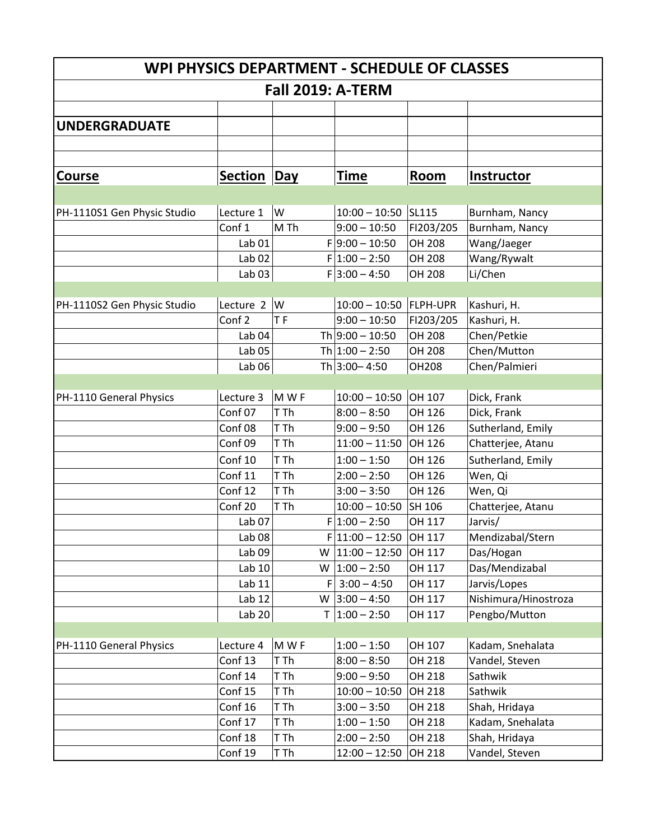| WPI PHYSICS DEPARTMENT - SCHEDULE OF CLASSES |                   |           |                       |                 |                      |  |  |
|----------------------------------------------|-------------------|-----------|-----------------------|-----------------|----------------------|--|--|
| <b>Fall 2019: A-TERM</b>                     |                   |           |                       |                 |                      |  |  |
|                                              |                   |           |                       |                 |                      |  |  |
| <b>UNDERGRADUATE</b>                         |                   |           |                       |                 |                      |  |  |
|                                              |                   |           |                       |                 |                      |  |  |
|                                              |                   |           |                       |                 |                      |  |  |
| Course                                       | <b>Section</b>    | Day       | <b>Time</b>           | Room            | Instructor           |  |  |
|                                              |                   |           |                       |                 |                      |  |  |
| PH-1110S1 Gen Physic Studio                  | Lecture 1         | lw        | $10:00 - 10:50$ SL115 |                 | Burnham, Nancy       |  |  |
|                                              | Conf 1            | M Th      | $9:00 - 10:50$        | FI203/205       | Burnham, Nancy       |  |  |
|                                              | Lab <sub>01</sub> |           | $F 9:00 - 10:50$      | OH 208          | Wang/Jaeger          |  |  |
|                                              | Lab <sub>02</sub> |           | $F 1:00 - 2:50$       | OH 208          | Wang/Rywalt          |  |  |
|                                              | Lab <sub>03</sub> |           | $F 3:00 - 4:50$       | OH 208          | Li/Chen              |  |  |
|                                              |                   |           |                       |                 |                      |  |  |
| PH-1110S2 Gen Physic Studio                  | Lecture 2         | W         | $10:00 - 10:50$       | <b>FLPH-UPR</b> | Kashuri, H.          |  |  |
|                                              | Conf <sub>2</sub> | <b>TF</b> | $9:00 - 10:50$        | FI203/205       | Kashuri, H.          |  |  |
|                                              | Lab <sub>04</sub> |           | Th $9:00 - 10:50$     | OH 208          | Chen/Petkie          |  |  |
|                                              | Lab <sub>05</sub> |           | Th $1:00 - 2:50$      | OH 208          | Chen/Mutton          |  |  |
|                                              | Lab <sub>06</sub> |           | Th 3:00 - 4:50        | <b>OH208</b>    | Chen/Palmieri        |  |  |
|                                              |                   |           |                       |                 |                      |  |  |
| PH-1110 General Physics                      | Lecture 3         | MWF       | $10:00 - 10:50$       | OH 107          | Dick, Frank          |  |  |
|                                              | Conf 07           | T Th      | $8:00 - 8:50$         | OH 126          | Dick, Frank          |  |  |
|                                              | Conf 08           | T Th      | $9:00 - 9:50$         | OH 126          | Sutherland, Emily    |  |  |
|                                              | Conf 09           | T Th      | $11:00 - 11:50$       | OH 126          | Chatterjee, Atanu    |  |  |
|                                              | Conf 10           | T Th      | $1:00 - 1:50$         | OH 126          | Sutherland, Emily    |  |  |
|                                              | Conf 11           | T Th      | $2:00 - 2:50$         | OH 126          | Wen, Qi              |  |  |
|                                              | Conf 12           | T Th      | $3:00 - 3:50$         | OH 126          | Wen, Qi              |  |  |
|                                              | Conf 20           | T Th      | $10:00 - 10:50$       | SH 106          | Chatterjee, Atanu    |  |  |
|                                              | Lab <sub>07</sub> |           | $F 1:00 - 2:50$       | OH 117          | Jarvis/              |  |  |
|                                              | Lab $08$          |           | $F 11:00-12:50$       | OH 117          | Mendizabal/Stern     |  |  |
|                                              | Lab <sub>09</sub> | W         | $11:00 - 12:50$       | OH 117          | Das/Hogan            |  |  |
|                                              | Lab 10            |           | W $ 1:00 - 2:50$      | OH 117          | Das/Mendizabal       |  |  |
|                                              | Lab 11            |           | $F$ 3:00 - 4:50       | OH 117          | Jarvis/Lopes         |  |  |
|                                              | Lab 12            | W         | $3:00 - 4:50$         | OH 117          | Nishimura/Hinostroza |  |  |
|                                              | Lab <sub>20</sub> | T.        | $1:00 - 2:50$         | OH 117          | Pengbo/Mutton        |  |  |
|                                              |                   |           |                       |                 |                      |  |  |
| PH-1110 General Physics                      | Lecture 4         | M W F     | $1:00 - 1:50$         | OH 107          | Kadam, Snehalata     |  |  |
|                                              | Conf 13           | T Th      | $8:00 - 8:50$         | OH 218          | Vandel, Steven       |  |  |
|                                              | Conf 14           | T Th      | $9:00 - 9:50$         | OH 218          | Sathwik              |  |  |
|                                              | Conf 15           | T Th      | $10:00 - 10:50$       | OH 218          | Sathwik              |  |  |
|                                              | Conf 16           | T Th      | $3:00 - 3:50$         | OH 218          | Shah, Hridaya        |  |  |
|                                              | Conf 17           | T Th      | $1:00 - 1:50$         | OH 218          | Kadam, Snehalata     |  |  |
|                                              | Conf 18           | T Th      | $2:00 - 2:50$         | OH 218          | Shah, Hridaya        |  |  |
|                                              | Conf 19           | T Th      | $12:00 - 12:50$       | OH 218          | Vandel, Steven       |  |  |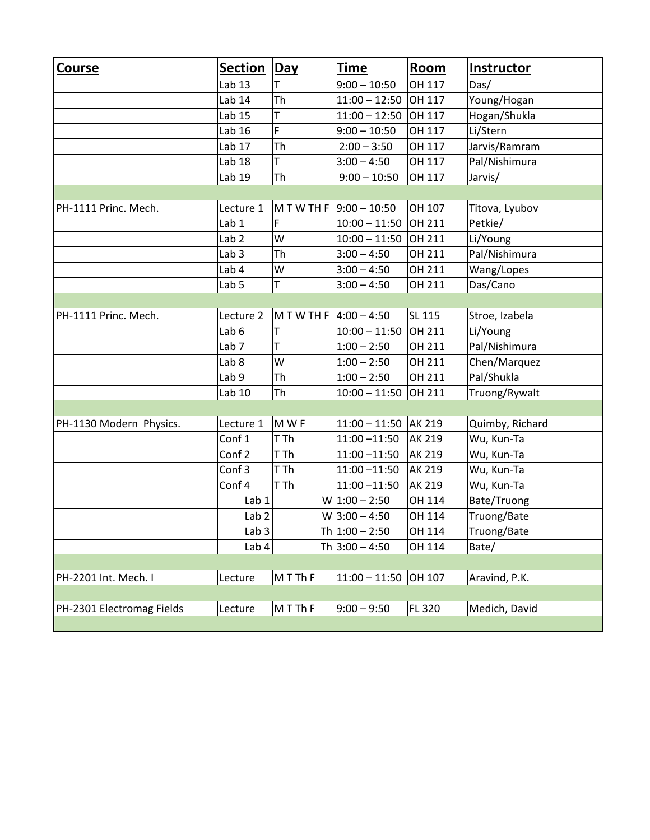| <b>Course</b>             | <b>Section</b>   | Day        | <b>Time</b>                 | <b>Room</b>   | <b>Instructor</b> |  |  |  |
|---------------------------|------------------|------------|-----------------------------|---------------|-------------------|--|--|--|
|                           | Lab 13           | Τ          | $9:00 - 10:50$              | OH 117        | Das/              |  |  |  |
|                           | Lab 14           | Th         | $11:00 - 12:50$             | OH 117        | Young/Hogan       |  |  |  |
|                           | Lab 15           | T          | $11:00 - 12:50$             | OH 117        | Hogan/Shukla      |  |  |  |
|                           | Lab 16           | F          | $9:00 - 10:50$              | OH 117        | Li/Stern          |  |  |  |
|                           | Lab 17           | Th         | $2:00 - 3:50$               | OH 117        | Jarvis/Ramram     |  |  |  |
|                           | Lab 18           | T          | $3:00 - 4:50$               | OH 117        | Pal/Nishimura     |  |  |  |
|                           | Lab 19           | Th         | $9:00 - 10:50$              | OH 117        | Jarvis/           |  |  |  |
|                           |                  |            |                             |               |                   |  |  |  |
| PH-1111 Princ. Mech.      | Lecture 1        |            | $M$ T W TH F $9:00 - 10:50$ | OH 107        | Titova, Lyubov    |  |  |  |
|                           | Lab 1            | F          | $10:00 - 11:50$             | OH 211        | Petkie/           |  |  |  |
|                           | Lab <sub>2</sub> | W          | $10:00 - 11:50$             | OH 211        | Li/Young          |  |  |  |
|                           | Lab <sub>3</sub> | Th         | $3:00 - 4:50$               | OH 211        | Pal/Nishimura     |  |  |  |
|                           | Lab 4            | W          | $3:00 - 4:50$               | OH 211        | Wang/Lopes        |  |  |  |
|                           | Lab <sub>5</sub> | T          | $3:00 - 4:50$               | OH 211        | Das/Cano          |  |  |  |
|                           |                  |            |                             |               |                   |  |  |  |
| PH-1111 Princ. Mech.      | Lecture 2        | MTWTHF     | $4:00 - 4:50$               | SL 115        | Stroe, Izabela    |  |  |  |
|                           | Lab <sub>6</sub> | T          | $10:00 - 11:50$             | OH 211        | Li/Young          |  |  |  |
|                           | Lab <sub>7</sub> | T          | $1:00 - 2:50$               | OH 211        | Pal/Nishimura     |  |  |  |
|                           | Lab <sub>8</sub> | W          | $1:00 - 2:50$               | OH 211        | Chen/Marquez      |  |  |  |
|                           | Lab <sub>9</sub> | Th         | $1:00 - 2:50$               | OH 211        | Pal/Shukla        |  |  |  |
|                           | Lab 10           | Th         | $10:00 - 11:50$             | OH 211        | Truong/Rywalt     |  |  |  |
|                           |                  |            |                             |               |                   |  |  |  |
| PH-1130 Modern Physics.   | Lecture 1        | MWF        | $11:00 - 11:50$             | <b>AK 219</b> | Quimby, Richard   |  |  |  |
|                           | Conf 1           | T Th       | $11:00 - 11:50$             | AK 219        | Wu, Kun-Ta        |  |  |  |
|                           | Conf 2           | T Th       | $11:00 - 11:50$             | AK 219        | Wu, Kun-Ta        |  |  |  |
|                           | Conf 3           | T Th       | $11:00 - 11:50$             | AK 219        | Wu, Kun-Ta        |  |  |  |
|                           | Conf 4           | T Th       | $11:00 - 11:50$             | AK 219        | Wu, Kun-Ta        |  |  |  |
|                           | Lab 1            |            | $W$ 1:00 - 2:50             | OH 114        | Bate/Truong       |  |  |  |
|                           | Lab <sub>2</sub> |            | $W$ 3:00 - 4:50             | OH 114        | Truong/Bate       |  |  |  |
|                           | Lab <sub>3</sub> |            | Th $1:00 - 2:50$            | OH 114        | Truong/Bate       |  |  |  |
|                           | Lab 4            |            | Th $3:00 - 4:50$            | OH 114        | Bate/             |  |  |  |
|                           |                  |            |                             |               |                   |  |  |  |
| PH-2201 Int. Mech. I      | Lecture          | $M$ T Th F | $11:00 - 11:50$ OH 107      |               | Aravind, P.K.     |  |  |  |
|                           |                  |            |                             |               |                   |  |  |  |
| PH-2301 Electromag Fields | Lecture          | $M$ T Th F | $9:00 - 9:50$               | <b>FL 320</b> | Medich, David     |  |  |  |